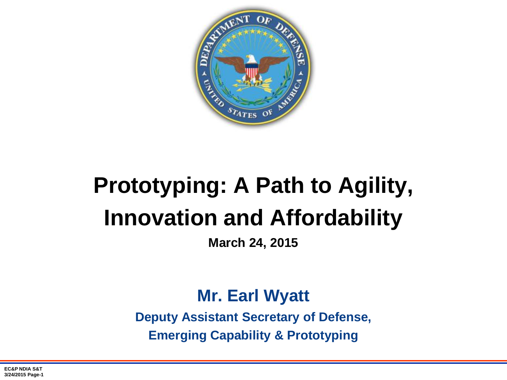

# **Prototyping: A Path to Agility, Innovation and Affordability**

**March 24, 2015**

### **Mr. Earl Wyatt**

**Deputy Assistant Secretary of Defense, Emerging Capability & Prototyping**

**EC&P NDIA S&T 3/24/2015 Page-1**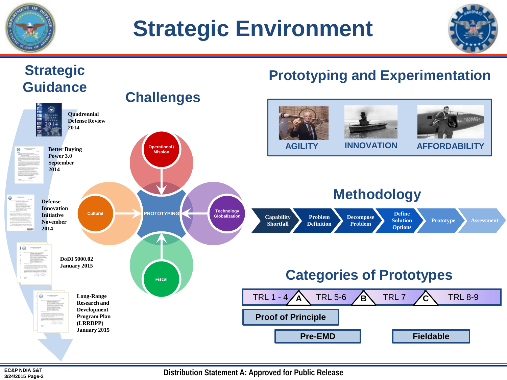

# **Strategic Environment**





**Distribution Statement A: Approved for Public Release**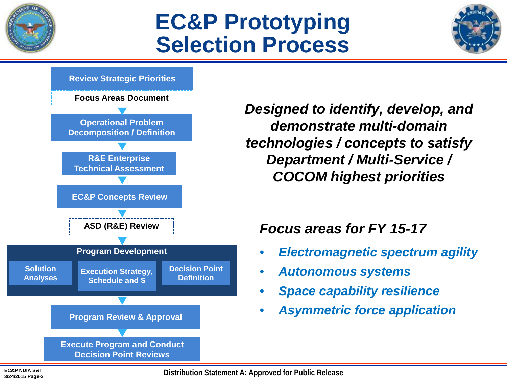

## **EC&P Prototyping Selection Process**





*Designed to identify, develop, and demonstrate multi-domain technologies / concepts to satisfy Department / Multi-Service / COCOM highest priorities* 

#### *Focus areas for FY 15-17*

- *Electromagnetic spectrum agility*
- *Autonomous systems*
- *Space capability resilience*
- *Asymmetric force application*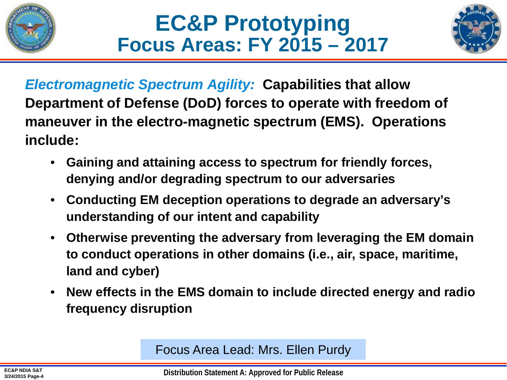



*Electromagnetic Spectrum Agility:* **Capabilities that allow Department of Defense (DoD) forces to operate with freedom of maneuver in the electro-magnetic spectrum (EMS). Operations include:**

- **Gaining and attaining access to spectrum for friendly forces, denying and/or degrading spectrum to our adversaries**
- **Conducting EM deception operations to degrade an adversary's understanding of our intent and capability**
- **Otherwise preventing the adversary from leveraging the EM domain to conduct operations in other domains (i.e., air, space, maritime, land and cyber)**
- **New effects in the EMS domain to include directed energy and radio frequency disruption**

Focus Area Lead: Mrs. Ellen Purdy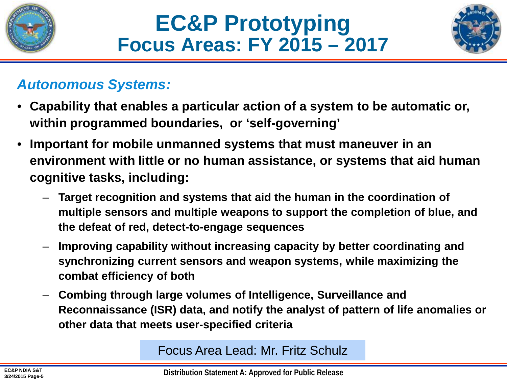



#### *Autonomous Systems:*

- **Capability that enables a particular action of a system to be automatic or, within programmed boundaries, or 'self-governing'**
- **Important for mobile unmanned systems that must maneuver in an environment with little or no human assistance, or systems that aid human cognitive tasks, including:**
	- **Target recognition and systems that aid the human in the coordination of multiple sensors and multiple weapons to support the completion of blue, and the defeat of red, detect-to-engage sequences**
	- **Improving capability without increasing capacity by better coordinating and synchronizing current sensors and weapon systems, while maximizing the combat efficiency of both**
	- **Combing through large volumes of Intelligence, Surveillance and Reconnaissance (ISR) data, and notify the analyst of pattern of life anomalies or other data that meets user-specified criteria**

Focus Area Lead: Mr. Fritz Schulz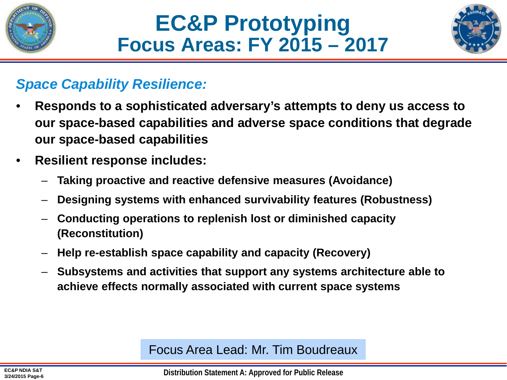



#### *Space Capability Resilience:*

- **Responds to a sophisticated adversary's attempts to deny us access to our space-based capabilities and adverse space conditions that degrade our space-based capabilities**
- **Resilient response includes:**
	- **Taking proactive and reactive defensive measures (Avoidance)**
	- **Designing systems with enhanced survivability features (Robustness)**
	- **Conducting operations to replenish lost or diminished capacity (Reconstitution)**
	- **Help re-establish space capability and capacity (Recovery)**
	- **Subsystems and activities that support any systems architecture able to achieve effects normally associated with current space systems**

Focus Area Lead: Mr. Tim Boudreaux

**Distribution Statement A: Approved for Public Release**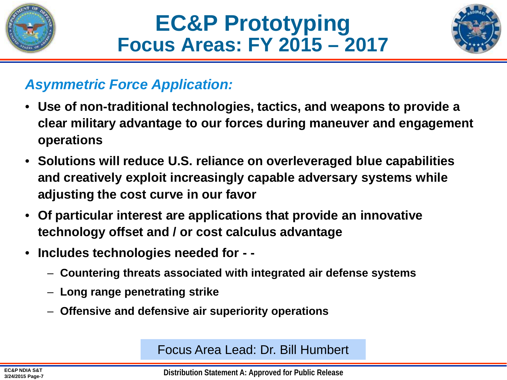





### *Asymmetric Force Application:*

- **Use of non-traditional technologies, tactics, and weapons to provide a clear military advantage to our forces during maneuver and engagement operations**
- **Solutions will reduce U.S. reliance on overleveraged blue capabilities and creatively exploit increasingly capable adversary systems while adjusting the cost curve in our favor**
- **Of particular interest are applications that provide an innovative technology offset and / or cost calculus advantage**
- **Includes technologies needed for - -**
	- **Countering threats associated with integrated air defense systems**
	- **Long range penetrating strike**
	- **Offensive and defensive air superiority operations**

Focus Area Lead: Dr. Bill Humbert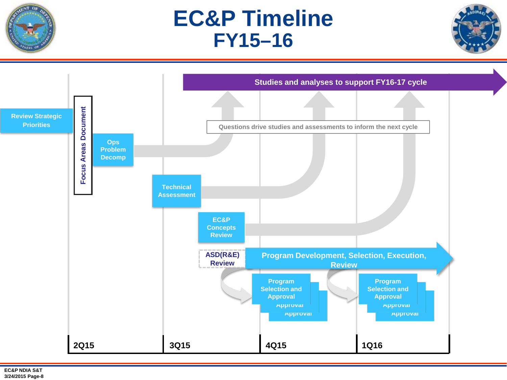

### **EC&P Timeline FY15–16**